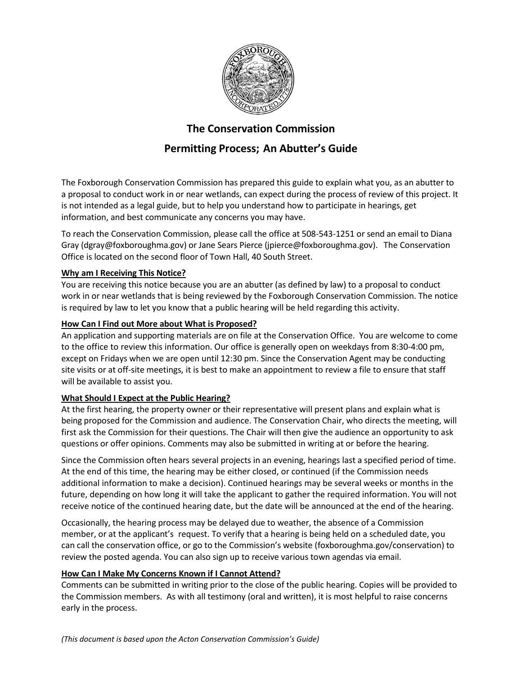

## **The Conservation Commission**

# **Permitting Process; An Abutter's Guide**

The Foxborough Conservation Commission has prepared this guide to explain what you, as an abutter to a proposal to conduct work in or near wetlands, can expect during the process of review of this project. It is not intended as a legal guide, but to help you understand how to participate in hearings, get information, and best communicate any concerns you may have.

To reach the Conservation Commission, please call the office at 508-543-1251 or send an email to Diana Gray (dgray@foxboroughma.gov) or Jane Sears Pierce (jpierce@foxboroughma.gov). The Conservation Office is located on the second floor of Town Hall, 40 South Street.

## **Why am I Receiving This Notice?**

You are receiving this notice because you are an abutter (as defined by law) to a proposal to conduct work in or near wetlands that is being reviewed by the Foxborough Conservation Commission. The notice is required by law to let you know that a public hearing will be held regarding this activity.

## **How Can I Find out More about What is Proposed?**

An application and supporting materials are on file at the Conservation Office. You are welcome to come to the office to review this information. Our office is generally open on weekdays from 8:30-4:00 pm, except on Fridays when we are open until 12:30 pm. Since the Conservation Agent may be conducting site visits or at off-site meetings, it is best to make an appointment to review a file to ensure that staff will be available to assist you.

## **What Should I Expect at the Public Hearing?**

At the first hearing, the property owner or their representative will present plans and explain what is being proposed for the Commission and audience. The Conservation Chair, who directs the meeting, will first ask the Commission for their questions. The Chair will then give the audience an opportunity to ask questions or offer opinions. Comments may also be submitted in writing at or before the hearing.

Since the Commission often hears several projects in an evening, hearings last a specified period of time. At the end of this time, the hearing may be either closed, or continued (if the Commission needs additional information to make a decision). Continued hearings may be several weeks or months in the future, depending on how long it will take the applicant to gather the required information. You will not receive notice of the continued hearing date, but the date will be announced at the end of the hearing.

Occasionally, the hearing process may be delayed due to weather, the absence of a Commission member, or at the applicant's request. To verify that a hearing is being held on a scheduled date, you can call the conservation office, or go to the Commission's website (foxboroughma.gov/conservation) to review the posted agenda. You can also sign up to receive various town agendas via email.

#### **How Can I Make My Concerns Known if I Cannot Attend?**

Comments can be submitted in writing prior to the close of the public hearing. Copies will be provided to the Commission members. As with all testimony (oral and written), it is most helpful to raise concerns early in the process.